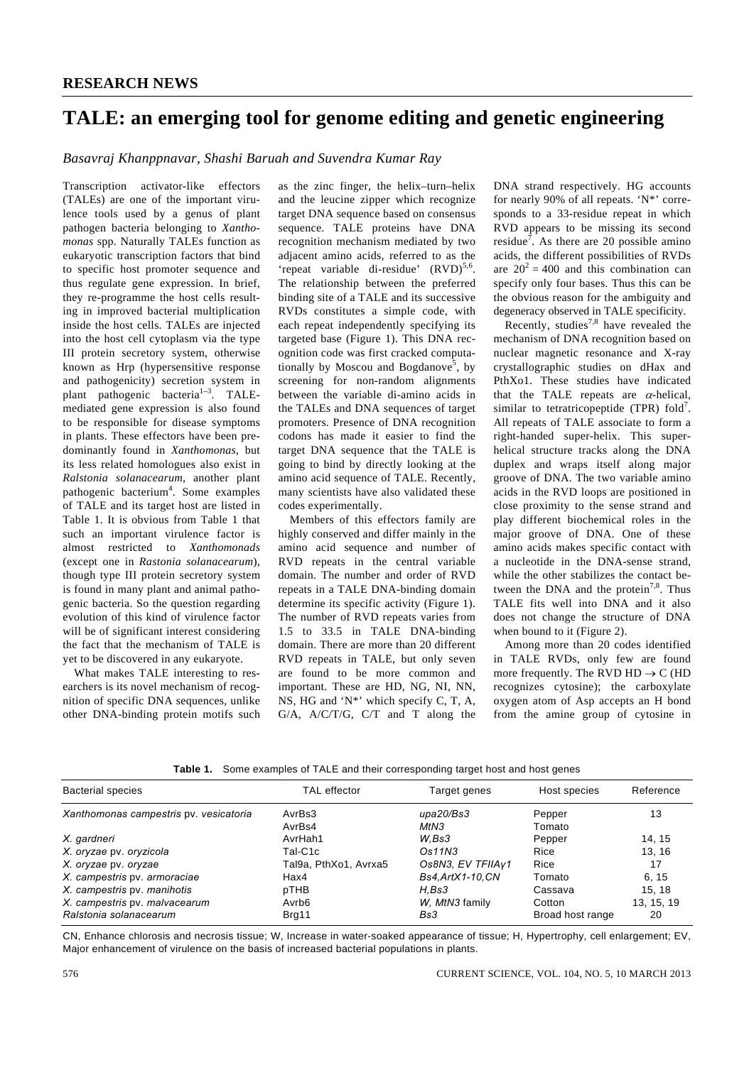## **TALE: an emerging tool for genome editing and genetic engineering**

*Basavraj Khanppnavar, Shashi Baruah and Suvendra Kumar Ray* 

Transcription activator-like effectors (TALEs) are one of the important virulence tools used by a genus of plant pathogen bacteria belonging to *Xanthomonas* spp. Naturally TALEs function as eukaryotic transcription factors that bind to specific host promoter sequence and thus regulate gene expression. In brief, they re-programme the host cells resulting in improved bacterial multiplication inside the host cells. TALEs are injected into the host cell cytoplasm via the type III protein secretory system, otherwise known as Hrp (hypersensitive response and pathogenicity) secretion system in plant pathogenic bacteria<sup>1–3</sup>. TALEmediated gene expression is also found to be responsible for disease symptoms in plants. These effectors have been predominantly found in *Xanthomonas*, but its less related homologues also exist in *Ralstonia solanacearum*, another plant pathogenic bacterium<sup>4</sup>. Some examples of TALE and its target host are listed in Table 1. It is obvious from Table 1 that such an important virulence factor is almost restricted to *Xanthomonads* (except one in *Rastonia solanacearum*), though type III protein secretory system is found in many plant and animal pathogenic bacteria. So the question regarding evolution of this kind of virulence factor will be of significant interest considering the fact that the mechanism of TALE is yet to be discovered in any eukaryote.

 What makes TALE interesting to researchers is its novel mechanism of recognition of specific DNA sequences, unlike other DNA-binding protein motifs such

as the zinc finger, the helix–turn–helix and the leucine zipper which recognize target DNA sequence based on consensus sequence. TALE proteins have DNA recognition mechanism mediated by two adjacent amino acids, referred to as the 'repeat variable di-residue'  $(RVD)^{5,6}$ . The relationship between the preferred binding site of a TALE and its successive RVDs constitutes a simple code, with each repeat independently specifying its targeted base (Figure 1). This DNA recognition code was first cracked computationally by Moscou and Bogdanove<sup>5</sup>, by screening for non-random alignments between the variable di-amino acids in the TALEs and DNA sequences of target promoters. Presence of DNA recognition codons has made it easier to find the target DNA sequence that the TALE is going to bind by directly looking at the amino acid sequence of TALE. Recently, many scientists have also validated these codes experimentally.

 Members of this effectors family are highly conserved and differ mainly in the amino acid sequence and number of RVD repeats in the central variable domain. The number and order of RVD repeats in a TALE DNA-binding domain determine its specific activity (Figure 1). The number of RVD repeats varies from 1.5 to 33.5 in TALE DNA-binding domain. There are more than 20 different RVD repeats in TALE, but only seven are found to be more common and important. These are HD, NG, NI, NN, NS, HG and 'N\*' which specify C, T, A, G/A, A/C/T/G, C/T and T along the

DNA strand respectively. HG accounts for nearly 90% of all repeats. 'N\*' corresponds to a 33-residue repeat in which RVD appears to be missing its second residue<sup>7</sup>. As there are 20 possible amino acids, the different possibilities of RVDs are  $20^2 = 400$  and this combination can specify only four bases. Thus this can be the obvious reason for the ambiguity and degeneracy observed in TALE specificity.

Recently, studies<sup>7,8</sup> have revealed the mechanism of DNA recognition based on nuclear magnetic resonance and X-ray crystallographic studies on dHax and PthXo1. These studies have indicated that the TALE repeats are  $\alpha$ -helical, similar to tetratricopeptide (TPR)  $fold<sup>7</sup>$ . All repeats of TALE associate to form a right-handed super-helix. This superhelical structure tracks along the DNA duplex and wraps itself along major groove of DNA. The two variable amino acids in the RVD loops are positioned in close proximity to the sense strand and play different biochemical roles in the major groove of DNA. One of these amino acids makes specific contact with a nucleotide in the DNA-sense strand, while the other stabilizes the contact between the DNA and the protein<sup>7,8</sup>. Thus TALE fits well into DNA and it also does not change the structure of DNA when bound to it (Figure 2).

 Among more than 20 codes identified in TALE RVDs, only few are found more frequently. The RVD  $HD \rightarrow C$  (HD recognizes cytosine); the carboxylate oxygen atom of Asp accepts an H bond from the amine group of cytosine in

|  | <b>Table 1.</b> Some examples of TALE and their corresponding target host and host genes |  |  |
|--|------------------------------------------------------------------------------------------|--|--|
|  |                                                                                          |  |  |

| <b>Bacterial species</b>               | <b>TAL</b> effector   | Target genes       | Host species     | Reference  |
|----------------------------------------|-----------------------|--------------------|------------------|------------|
| Xanthomonas campestris pv. vesicatoria | AvrBs3                | upa20/Bs3          | Pepper           | 13         |
|                                        | AvrBs4                | MtN3               | Tomato           |            |
| X. gardneri                            | AvrHah1               | W.Bs3              | Pepper           | 14.15      |
| X. oryzae pv. oryzicola                | Tal-C1c               | Os11N3             | Rice             | 13, 16     |
| X. oryzae pv. oryzae                   | Tal9a, PthXo1, Avrxa5 | Os8N3, EV TFIIAv1  | Rice             | 17         |
| X. campestris pv. armoraciae           | Hax4                  | Bs4, Art X1-10, CN | Tomato           | 6.15       |
| X. campestris pv. manihotis            | pTHB                  | H.Bs3              | Cassava          | 15.18      |
| X. campestris pv. malvacearum          | Avrb <sub>6</sub>     | W. MtN3 family     | Cotton           | 13, 15, 19 |
| Ralstonia solanacearum                 | Brg11                 | Bs3                | Broad host range | 20         |

CN, Enhance chlorosis and necrosis tissue; W, Increase in water-soaked appearance of tissue; H, Hypertrophy, cell enlargement; EV, Major enhancement of virulence on the basis of increased bacterial populations in plants.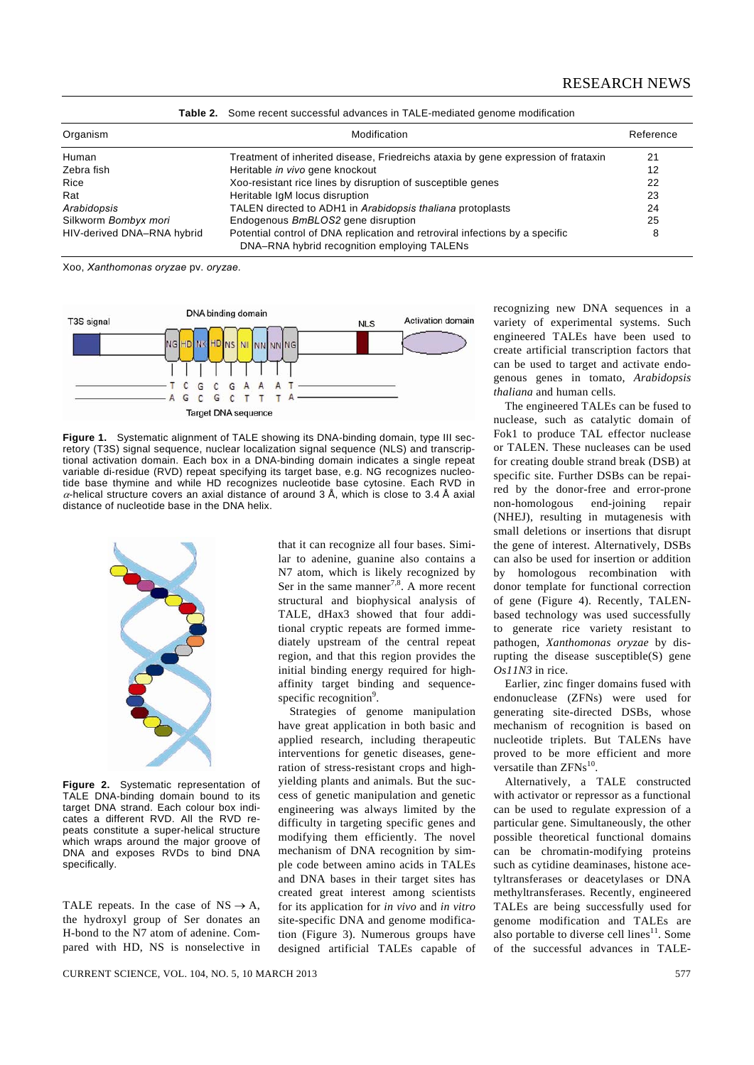| Organism                   | Modification                                                                                                                | Reference |
|----------------------------|-----------------------------------------------------------------------------------------------------------------------------|-----------|
| Human                      | Treatment of inherited disease, Friedreichs ataxia by gene expression of frataxin                                           | 21        |
| Zebra fish                 | Heritable in vivo gene knockout                                                                                             | 12        |
| Rice                       | Xoo-resistant rice lines by disruption of susceptible genes                                                                 | 22        |
| Rat                        | Heritable IgM locus disruption                                                                                              | 23        |
| Arabidopsis                | TALEN directed to ADH1 in Arabidopsis thaliana protoplasts                                                                  | 24        |
| Silkworm Bombyx mori       | Endogenous BmBLOS2 gene disruption                                                                                          | 25        |
| HIV-derived DNA-RNA hybrid | Potential control of DNA replication and retroviral infections by a specific<br>DNA-RNA hybrid recognition employing TALENs | 8         |

**Table 2.** Some recent successful advances in TALE-mediated genome modification

Xoo, *Xanthomonas oryzae* pv. *oryzae.* 



**Figure 1.** Systematic alignment of TALE showing its DNA-binding domain, type III secretory (T3S) signal sequence, nuclear localization signal sequence (NLS) and transcriptional activation domain. Each box in a DNA-binding domain indicates a single repeat variable di-residue (RVD) repeat specifying its target base, e.g. NG recognizes nucleotide base thymine and while HD recognizes nucleotide base cytosine. Each RVD in  $\alpha$ -helical structure covers an axial distance of around 3 Å, which is close to 3.4 Å axial distance of nucleotide base in the DNA helix.



**Figure 2.** Systematic representation of TALE DNA-binding domain bound to its target DNA strand. Each colour box indicates a different RVD. All the RVD repeats constitute a super-helical structure which wraps around the major groove of DNA and exposes RVDs to bind DNA specifically.

TALE repeats. In the case of  $NS \rightarrow A$ , the hydroxyl group of Ser donates an H-bond to the N7 atom of adenine. Compared with HD, NS is nonselective in that it can recognize all four bases. Similar to adenine, guanine also contains a N7 atom, which is likely recognized by Ser in the same manner<sup>7,8</sup>. A more recent structural and biophysical analysis of TALE, dHax3 showed that four additional cryptic repeats are formed immediately upstream of the central repeat region, and that this region provides the initial binding energy required for highaffinity target binding and sequencespecific recognition<sup>9</sup>.

 Strategies of genome manipulation have great application in both basic and applied research, including therapeutic interventions for genetic diseases, generation of stress-resistant crops and highyielding plants and animals. But the success of genetic manipulation and genetic engineering was always limited by the difficulty in targeting specific genes and modifying them efficiently. The novel mechanism of DNA recognition by simple code between amino acids in TALEs and DNA bases in their target sites has created great interest among scientists for its application for *in vivo* and *in vitro* site-specific DNA and genome modification (Figure 3). Numerous groups have designed artificial TALEs capable of recognizing new DNA sequences in a variety of experimental systems. Such engineered TALEs have been used to create artificial transcription factors that can be used to target and activate endogenous genes in tomato, *Arabidopsis thaliana* and human cells.

 The engineered TALEs can be fused to nuclease, such as catalytic domain of Fok1 to produce TAL effector nuclease or TALEN. These nucleases can be used for creating double strand break (DSB) at specific site. Further DSBs can be repaired by the donor-free and error-prone non-homologous end-joining repair (NHEJ), resulting in mutagenesis with small deletions or insertions that disrupt the gene of interest. Alternatively, DSBs can also be used for insertion or addition by homologous recombination with donor template for functional correction of gene (Figure 4). Recently, TALENbased technology was used successfully to generate rice variety resistant to pathogen, *Xanthomonas oryzae* by disrupting the disease susceptible(S) gene *Os11N3* in rice.

 Earlier, zinc finger domains fused with endonuclease (ZFNs) were used for generating site-directed DSBs, whose mechanism of recognition is based on nucleotide triplets. But TALENs have proved to be more efficient and more versatile than  $ZFNs^{10}$ 

 Alternatively, a TALE constructed with activator or repressor as a functional can be used to regulate expression of a particular gene. Simultaneously, the other possible theoretical functional domains can be chromatin-modifying proteins such as cytidine deaminases, histone acetyltransferases or deacetylases or DNA methyltransferases. Recently, engineered TALEs are being successfully used for genome modification and TALEs are also portable to diverse cell lines<sup>11</sup>. Some of the successful advances in TALE-